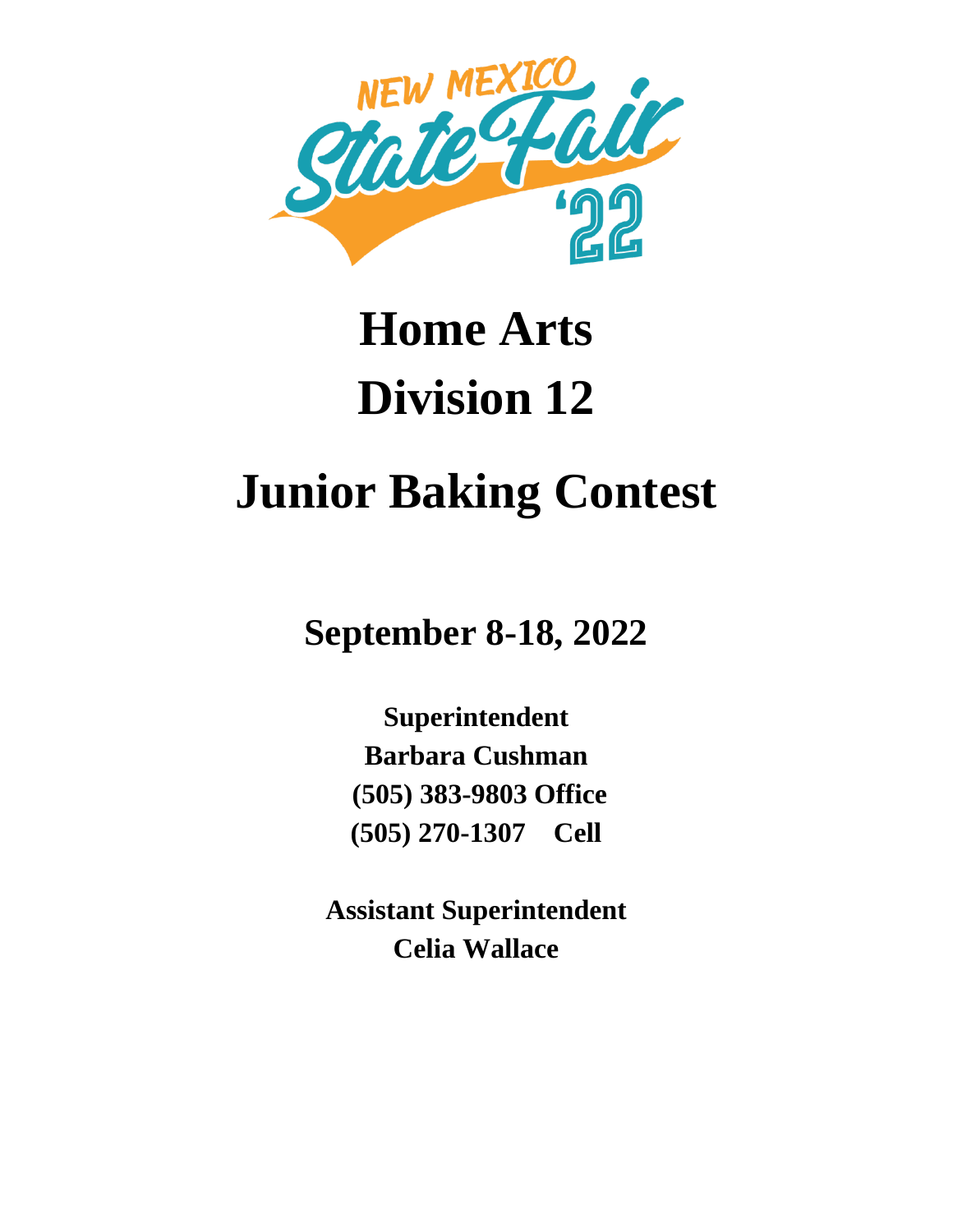

# **Home Arts Division 12**

# **Junior Baking Contest**

**September 8-18, 2022**

**Superintendent Barbara Cushman (505) 383-9803 Office (505) 270-1307 Cell**

**Assistant Superintendent Celia Wallace**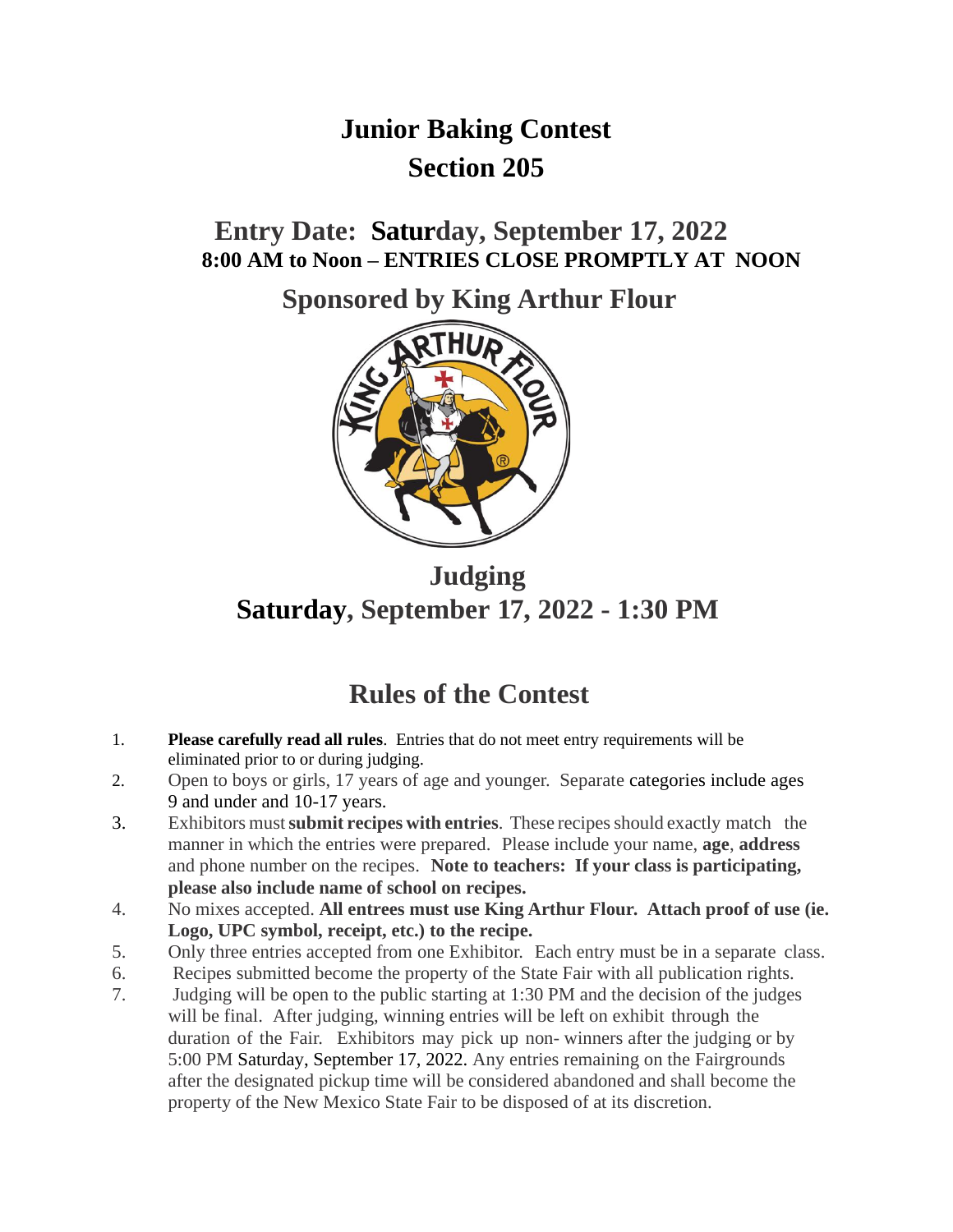# **Junior Baking Contest Section 205**

**Entry Date: Saturday, September 17, 2022 8:00 AM to Noon – ENTRIES CLOSE PROMPTLY AT NOON**

**Sponsored by King Arthur Flour**



**Judging Saturday, September 17, 2022 - 1:30 PM**

# **Rules of the Contest**

- 1. **Please carefully read all rules**. Entries that do not meet entry requirements will be eliminated prior to or during judging.
- 2. Open to boys or girls, 17 years of age and younger. Separate categories include ages 9 and under and 10-17 years.
- 3. Exhibitors must**submit recipes with entries**. These recipesshould exactly match the manner in which the entries were prepared. Please include your name, **age**, **address** and phone number on the recipes. **Note to teachers: If your class is participating, please also include name of school on recipes.**
- 4. No mixes accepted. **All entrees must use King Arthur Flour. Attach proof of use (ie. Logo, UPC symbol, receipt, etc.) to the recipe.**
- 5. Only three entries accepted from one Exhibitor. Each entry must be in a separate class.
- 6. Recipes submitted become the property of the State Fair with all publication rights.
- 7. Judging will be open to the public starting at 1:30 PM and the decision of the judges will be final. After judging, winning entries will be left on exhibit through the duration of the Fair. Exhibitors may pick up non- winners after the judging or by 5:00 PM Saturday, September 17, 2022. Any entries remaining on the Fairgrounds after the designated pickup time will be considered abandoned and shall become the property of the New Mexico State Fair to be disposed of at its discretion.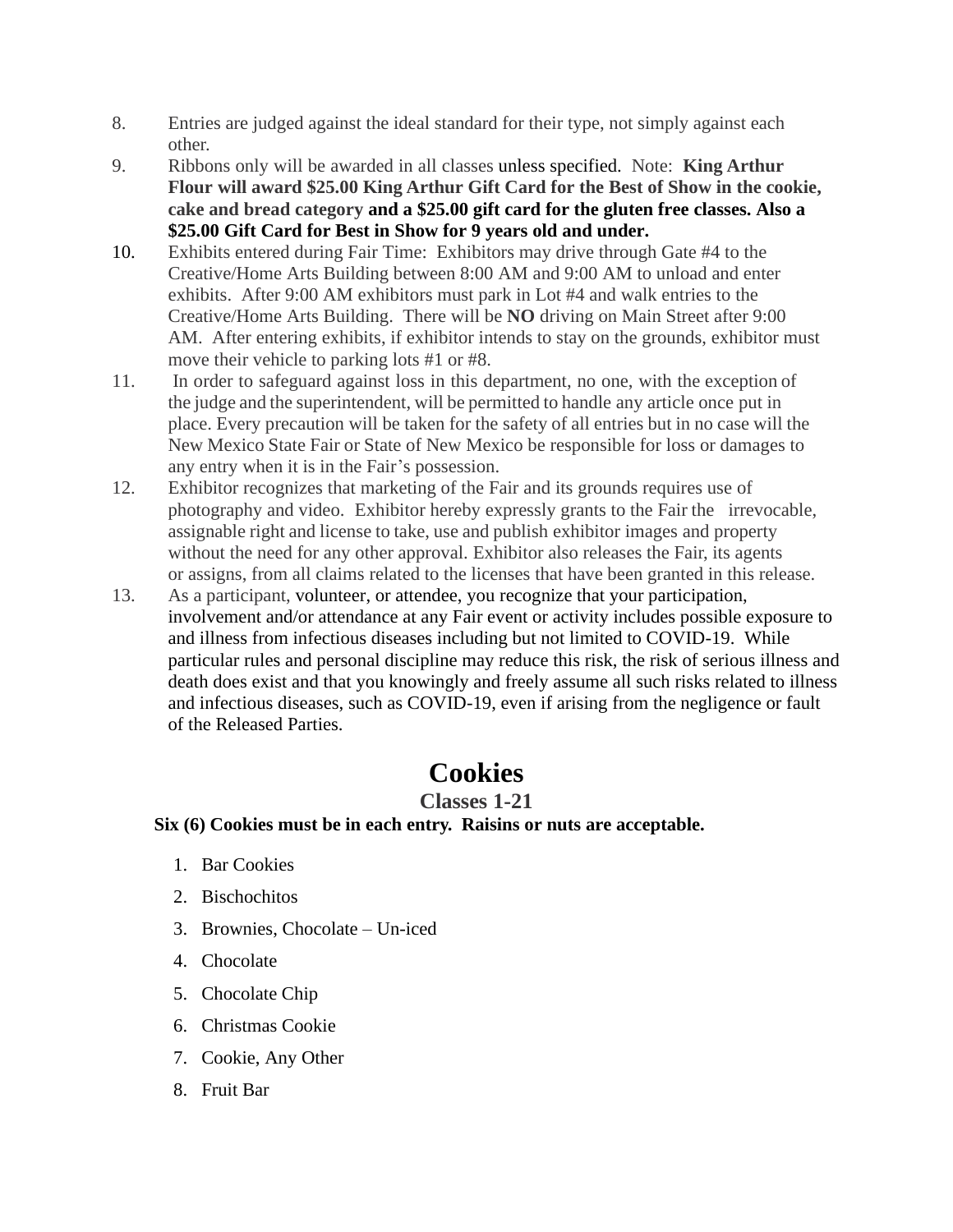- 8. Entries are judged against the ideal standard for their type, not simply against each other.
- 9. Ribbons only will be awarded in all classes unless specified. Note: **King Arthur Flour will award \$25.00 King Arthur Gift Card for the Best of Show in the cookie, cake and bread category and a \$25.00 gift card for the gluten free classes. Also a \$25.00 Gift Card for Best in Show for 9 years old and under.**
- 10. Exhibits entered during Fair Time: Exhibitors may drive through Gate #4 to the Creative/Home Arts Building between 8:00 AM and 9:00 AM to unload and enter exhibits. After 9:00 AM exhibitors must park in Lot #4 and walk entries to the Creative/Home Arts Building. There will be **NO** driving on Main Street after 9:00 AM. After entering exhibits, if exhibitor intends to stay on the grounds, exhibitor must move their vehicle to parking lots #1 or #8.
- 11. In order to safeguard against loss in this department, no one, with the exception of the judge and the superintendent, will be permitted to handle any article once put in place. Every precaution will be taken for the safety of all entries but in no case will the New Mexico State Fair or State of New Mexico be responsible for loss or damages to any entry when it is in the Fair's possession.
- 12. Exhibitor recognizes that marketing of the Fair and its grounds requires use of photography and video. Exhibitor hereby expressly grants to the Fair the irrevocable, assignable right and license to take, use and publish exhibitor images and property without the need for any other approval. Exhibitor also releases the Fair, its agents or assigns, from all claims related to the licenses that have been granted in this release.
- 13. As a participant, volunteer, or attendee, you recognize that your participation, involvement and/or attendance at any Fair event or activity includes possible exposure to and illness from infectious diseases including but not limited to COVID-19. While particular rules and personal discipline may reduce this risk, the risk of serious illness and death does exist and that you knowingly and freely assume all such risks related to illness and infectious diseases, such as COVID-19, even if arising from the negligence or fault of the Released Parties.

# **Cookies**

### **Classes 1-21**

#### **Six (6) Cookies must be in each entry. Raisins or nuts are acceptable.**

- 1. Bar Cookies
- 2. Bischochitos
- 3. Brownies, Chocolate Un-iced
- 4. Chocolate
- 5. Chocolate Chip
- 6. Christmas Cookie
- 7. Cookie, Any Other
- 8. Fruit Bar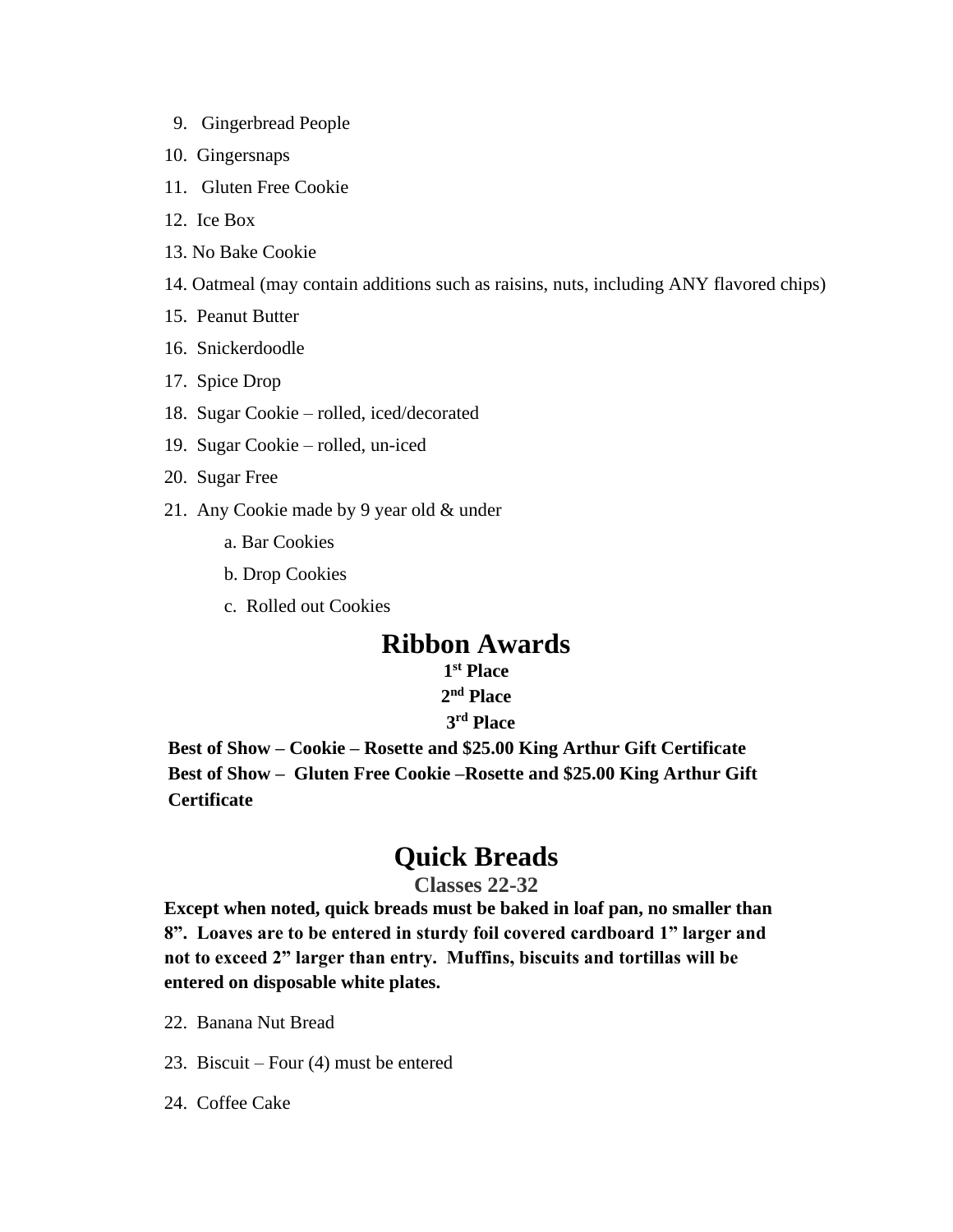- 9. Gingerbread People
- 10. Gingersnaps
- 11. Gluten Free Cookie
- 12. Ice Box
- 13. No Bake Cookie
- 14. Oatmeal (may contain additions such as raisins, nuts, including ANY flavored chips)
- 15. Peanut Butter
- 16. Snickerdoodle
- 17. Spice Drop
- 18. Sugar Cookie rolled, iced/decorated
- 19. Sugar Cookie rolled, un-iced
- 20. Sugar Free
- 21. Any Cookie made by 9 year old & under
	- a. Bar Cookies
	- b. Drop Cookies
	- c. Rolled out Cookies

## **Ribbon Awards**

#### **1 st Place 2 nd Place**

#### **3 rd Place**

**Best of Show – Cookie – Rosette and \$25.00 King Arthur Gift Certificate Best of Show – Gluten Free Cookie –Rosette and \$25.00 King Arthur Gift Certificate**

## **Quick Breads**

#### **Classes 22-32**

**Except when noted, quick breads must be baked in loaf pan, no smaller than 8". Loaves are to be entered in sturdy foil covered cardboard 1" larger and not to exceed 2" larger than entry. Muffins, biscuits and tortillas will be entered on disposable white plates.**

- 22. Banana Nut Bread
- 23. Biscuit Four (4) must be entered
- 24. Coffee Cake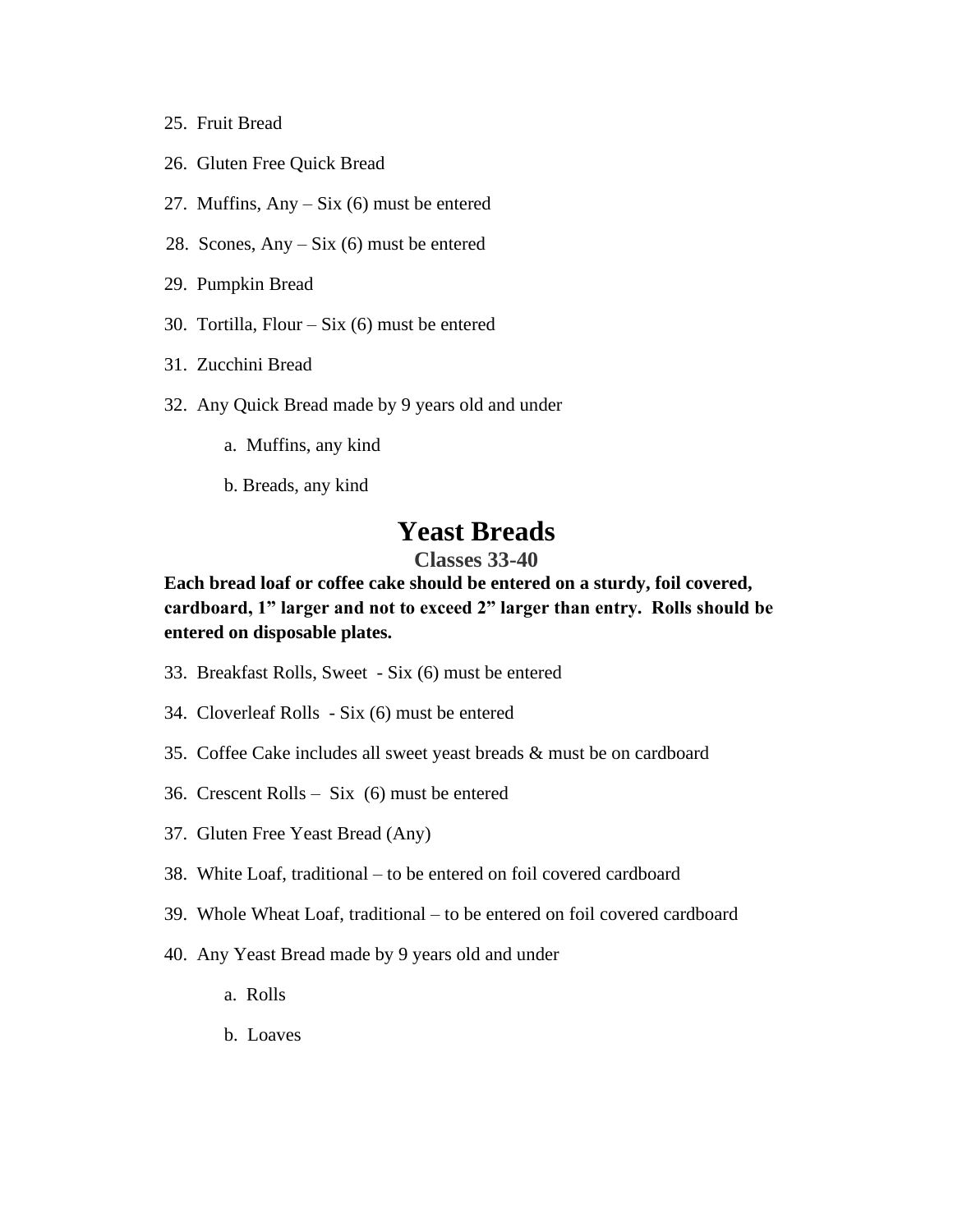- 25. Fruit Bread
- 26. Gluten Free Quick Bread
- 27. Muffins,  $Any Six (6) must be entered$
- 28. Scones, Any Six (6) must be entered
- 29. Pumpkin Bread
- 30. Tortilla, Flour Six (6) must be entered
- 31. Zucchini Bread
- 32. Any Quick Bread made by 9 years old and under
	- a. Muffins, any kind
	- b. Breads, any kind

## **Yeast Breads**

#### **Classes 33-40**

**Each bread loaf or coffee cake should be entered on a sturdy, foil covered, cardboard, 1" larger and not to exceed 2" larger than entry. Rolls should be entered on disposable plates.**

- 33. Breakfast Rolls, Sweet Six (6) must be entered
- 34. Cloverleaf Rolls Six (6) must be entered
- 35. Coffee Cake includes all sweet yeast breads & must be on cardboard
- 36. Crescent Rolls Six (6) must be entered
- 37. Gluten Free Yeast Bread (Any)
- 38. White Loaf, traditional to be entered on foil covered cardboard
- 39. Whole Wheat Loaf, traditional to be entered on foil covered cardboard
- 40. Any Yeast Bread made by 9 years old and under
	- a. Rolls
	- b. Loaves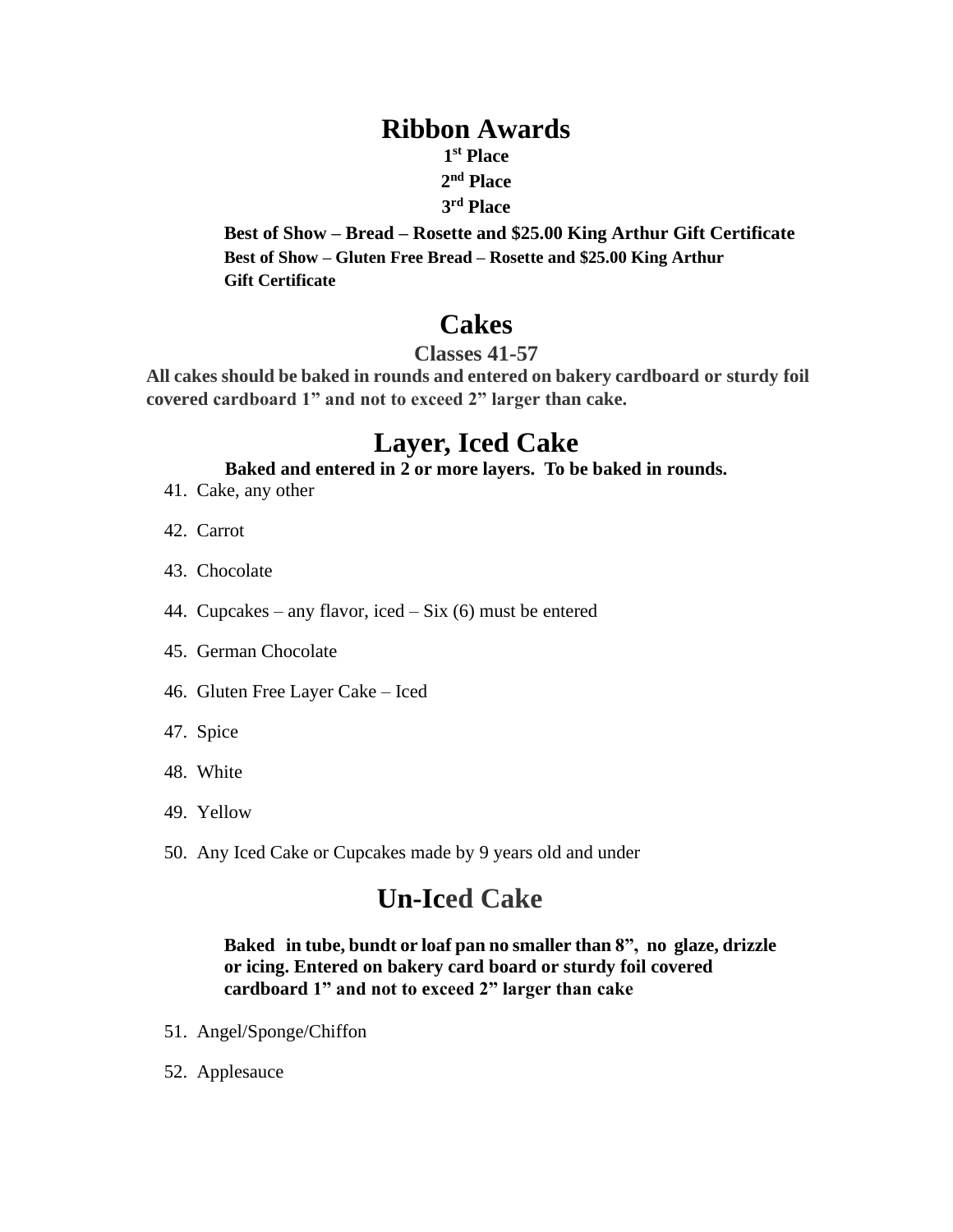## **Ribbon Awards**

**1 st Place** 

## **2 nd Place**

#### **3 rd Place**

**Best of Show – Bread – Rosette and \$25.00 King Arthur Gift Certificate Best of Show – Gluten Free Bread – Rosette and \$25.00 King Arthur Gift Certificate**

# **Cakes**

### **Classes 41-57**

**All cakes should be baked in rounds and entered on bakery cardboard or sturdy foil covered cardboard 1" and not to exceed 2" larger than cake.**

# **Layer, Iced Cake**

#### **Baked and entered in 2 or more layers. To be baked in rounds.**

- 41. Cake, any other
- 42. Carrot
- 43. Chocolate
- 44. Cupcakes any flavor, iced Six (6) must be entered
- 45. German Chocolate
- 46. Gluten Free Layer Cake Iced
- 47. Spice
- 48. White
- 49. Yellow
- 50. Any Iced Cake or Cupcakes made by 9 years old and under

# **Un-Iced Cake**

#### **Baked in tube, bundt or loaf pan no smaller than 8", no glaze, drizzle or icing. Entered on bakery card board or sturdy foil covered cardboard 1" and not to exceed 2" larger than cake**

- 51. Angel/Sponge/Chiffon
- 52. Applesauce